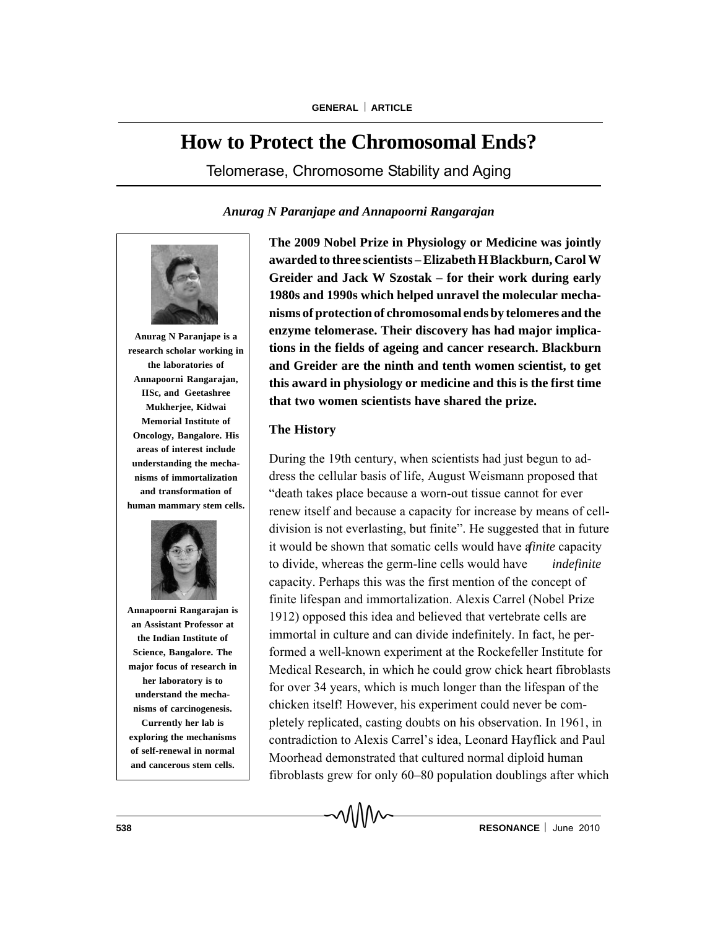# **How to Protect the Chromosomal Ends?**

Telomerase, Chromosome Stability and Aging

*Anurag N Paranjape and Annapoorni Rangarajan*



**Anurag N Paranjape is a research scholar working in the laboratories of Annapoorni Rangarajan, IISc, and Geetashree Mukherjee, Kidwai Memorial Institute of Oncology, Bangalore. His areas of interest include understanding the mechanisms of immortalization and transformation of human mammary stem cells.**



**Annapoorni Rangarajan is an Assistant Professor at the Indian Institute of Science, Bangalore. The major focus of research in her laboratory is to understand the mechanisms of carcinogenesis. Currently her lab is exploring the mechanisms of self-renewal in normal**

**and cancerous stem cells.**

**The 2009 Nobel Prize in Physiology or Medicine was jointly awarded to three scientists – Elizabeth H Blackburn, Carol W Greider and Jack W Szostak – for their work during early 1980s and 1990s which helped unravel the molecular mechanisms of protection of chromosomal ends by telomeres and the enzyme telomerase. Their discovery has had major implications in the fields of ageing and cancer research. Blackburn and Greider are the ninth and tenth women scientist, to get this award in physiology or medicine and this is the first time that two women scientists have shared the prize.**

# **The History**

During the 19th century, when scientists had just begun to address the cellular basis of life, August Weismann proposed that "death takes place because a worn-out tissue cannot for ever renew itself and because a capacity for increase by means of celldivision is not everlasting, but finite". He suggested that in future it would be shown that somatic cells would have *a finite* capacity to divide, whereas the germ-line cells would have *indefinite* capacity. Perhaps this was the first mention of the concept of finite lifespan and immortalization. Alexis Carrel (Nobel Prize 1912) opposed this idea and believed that vertebrate cells are immortal in culture and can divide indefinitely. In fact, he performed a well-known experiment at the Rockefeller Institute for Medical Research, in which he could grow chick heart fibroblasts for over 34 years, which is much longer than the lifespan of the chicken itself! However, his experiment could never be completely replicated, casting doubts on his observation. In 1961, in contradiction to Alexis Carrel's idea, Leonard Hayflick and Paul Moorhead demonstrated that cultured normal diploid human fibroblasts grew for only 60–80 population doublings after which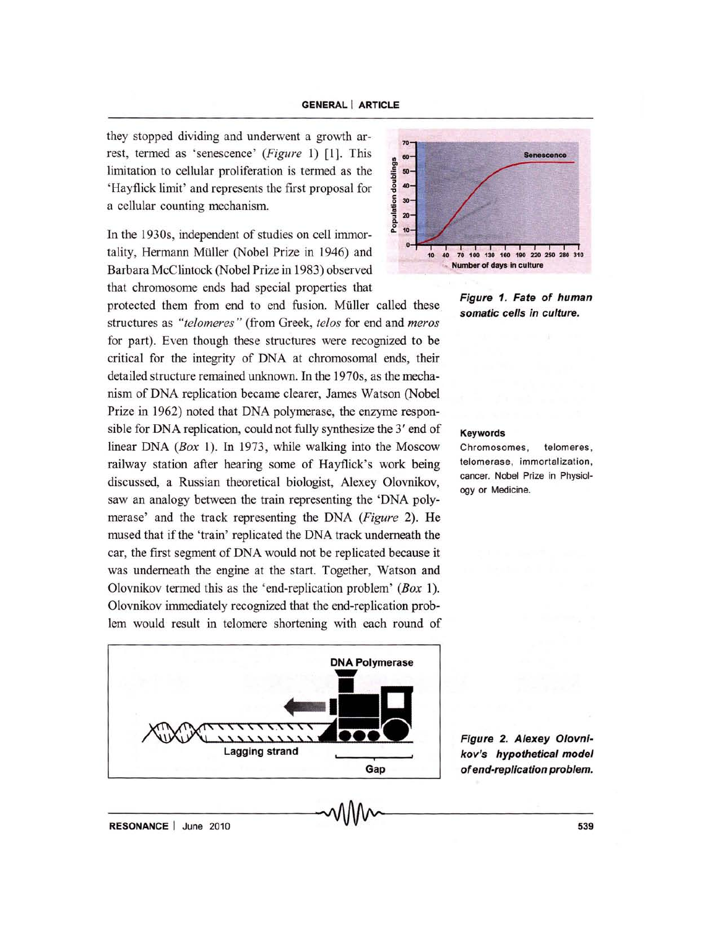they stopped dividing and underwent a growth arrest, termed as 'senescence' *(Figure* 1) [1]. This limitation to cellular proliferation is termed as the 'Hayflick limit' and represents the first proposal for a cellular counting mechanism.

In the 1930s, independent of studies on cell immortality, Hermann Müller (Nobel Prize in 1946) and Barbara McClintock (Nobel Prize in 1983) observed that chromosome ends had special properties that

protected them from end to end fusion. Muller called these structures as *"telomeres "* (from Greek, *te/os* for end and *meros*  for part). Even though these structures were recognized to be critical for the integrity of DNA at chromosomal ends, their detailed structure remained unknown. In the 1970s, as the mechanism of DNA replication became clearer, James Watson (Nobel Prize in 1962) noted that DNA polymerase, the enzyme responsible for DNA replication, could not fully synthesize the  $3'$  end of Keywords linear DNA (Box 1). In 1973, while walking into the Moscow Chromosomes, telomeres, railway station after hearing some of Hayflick's work being discussed, a Russian theoretical biologist, Alexey Olovnikov, saw an analogy between the train representing the 'DNA polymerase' and the track representing the DNA *(Figure* 2). He mused that if the 'train' replicated the DNA track underneath the car, the first segment of DNA would not be replicated because it was underneath the engine at the start. Together, Watson and Olovnikov termed this as the 'end-replication problem' *(Box 1).*  Olovnikov immediately recognized that the end-replication problem would result in telomere shortening with each round of







telomerase, immortalization, cancer. Nobel Prize in Physiology or Medicine.

Figure 2. Alexey Olovnikov's hypothetical model of end-replication problem.

**RESONANCE** | June 2010 **CONTACTE | MANUFACTE | June 2010** 639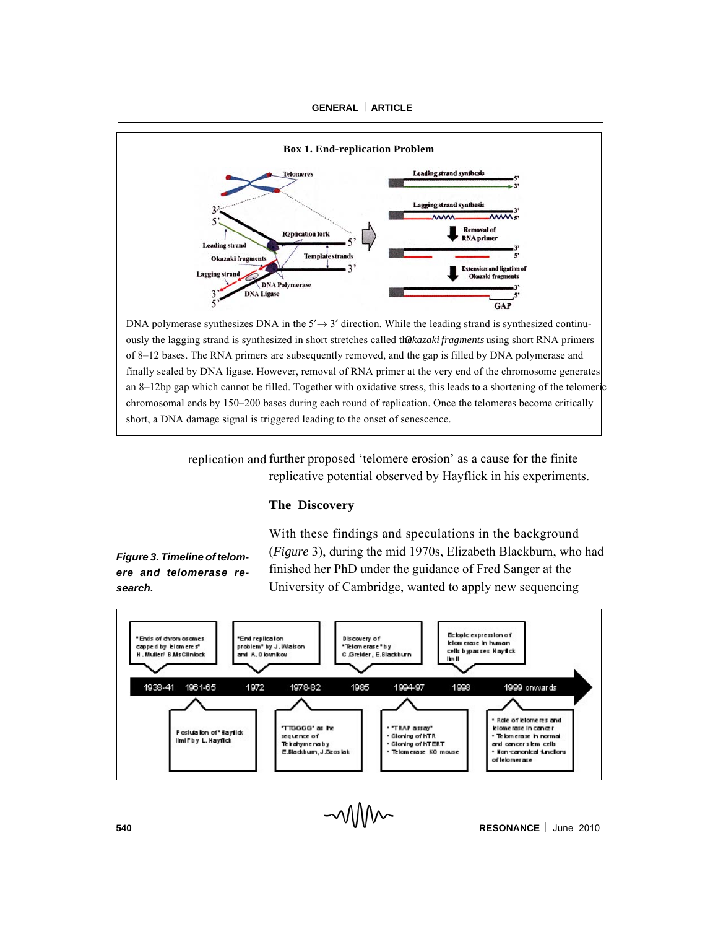

ously the lagging strand is synthesized in short stretches called the *Razaki fragments* using short RNA primers of 8–12 bases. The RNA primers are subsequently removed, and the gap is filled by DNA polymerase and finally sealed by DNA ligase. However, removal of RNA primer at the very end of the chromosome generates an 8–12bp gap which cannot be filled. Together with oxidative stress, this leads to a shortening of the telomeric chromosomal ends by 150–200 bases during each round of replication. Once the telomeres become critically short, a DNA damage signal is triggered leading to the onset of senescence.

> replication and further proposed 'telomere erosion' as a cause for the finite replicative potential observed by Hayflick in his experiments.

### **The Discovery**

*Figure 3. Timeline of telomere and telomerase research.*

With these findings and speculations in the background (*Figure* 3), during the mid 1970s, Elizabeth Blackburn, who had finished her PhD under the guidance of Fred Sanger at the University of Cambridge, wanted to apply new sequencing



**540 RESONANCE** June 2010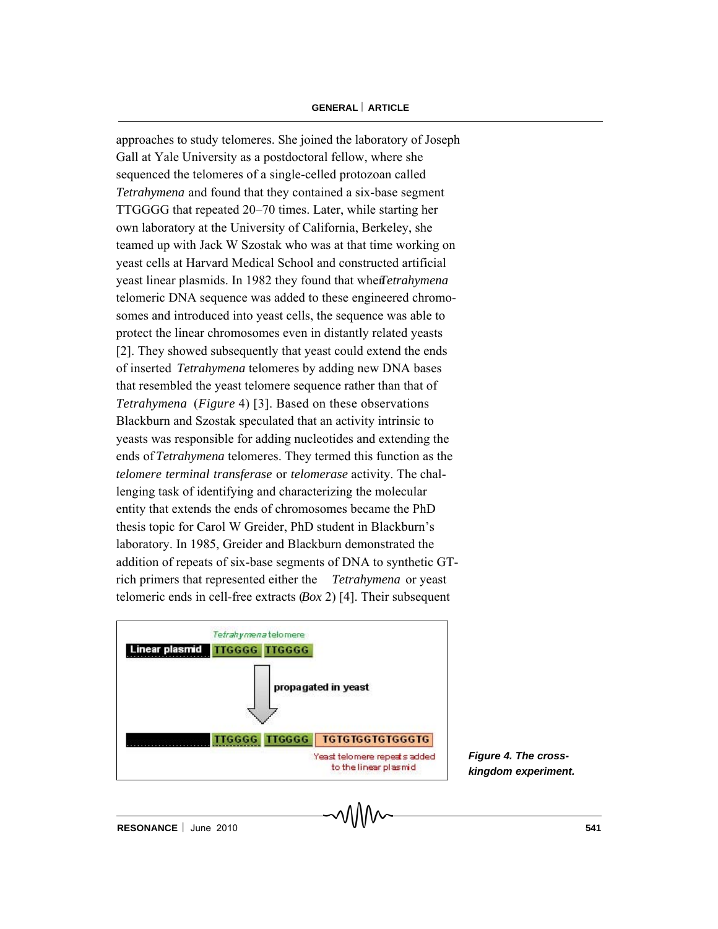approaches to study telomeres. She joined the laboratory of Joseph Gall at Yale University as a postdoctoral fellow, where she sequenced the telomeres of a single-celled protozoan called *Tetrahymena* and found that they contained a six-base segment TTGGGG that repeated 20–70 times. Later, while starting her own laboratory at the University of California, Berkeley, she teamed up with Jack W Szostak who was at that time working on yeast cells at Harvard Medical School and constructed artificial yeast linear plasmids. In 1982 they found that when *Tetrahymena* telomeric DNA sequence was added to these engineered chromosomes and introduced into yeast cells, the sequence was able to protect the linear chromosomes even in distantly related yeasts [2]. They showed subsequently that yeast could extend the ends of inserted *Tetrahymena* telomeres by adding new DNA bases that resembled the yeast telomere sequence rather than that of *Tetrahymena* (*Figure* 4) [3]. Based on these observations Blackburn and Szostak speculated that an activity intrinsic to yeasts was responsible for adding nucleotides and extending the ends of *Tetrahymena* telomeres. They termed this function as the *telomere terminal transferase* or *telomerase* activity. The challenging task of identifying and characterizing the molecular entity that extends the ends of chromosomes became the PhD thesis topic for Carol W Greider, PhD student in Blackburn's laboratory. In 1985, Greider and Blackburn demonstrated the addition of repeats of six-base segments of DNA to synthetic GTrich primers that represented either the *Tetrahymena* or yeast telomeric ends in cell-free extracts (*Box* 2) [4]. Their subsequent



*Figure 4. The crosskingdom experiment.*

**RESONANCE** | June 2010 **541 541**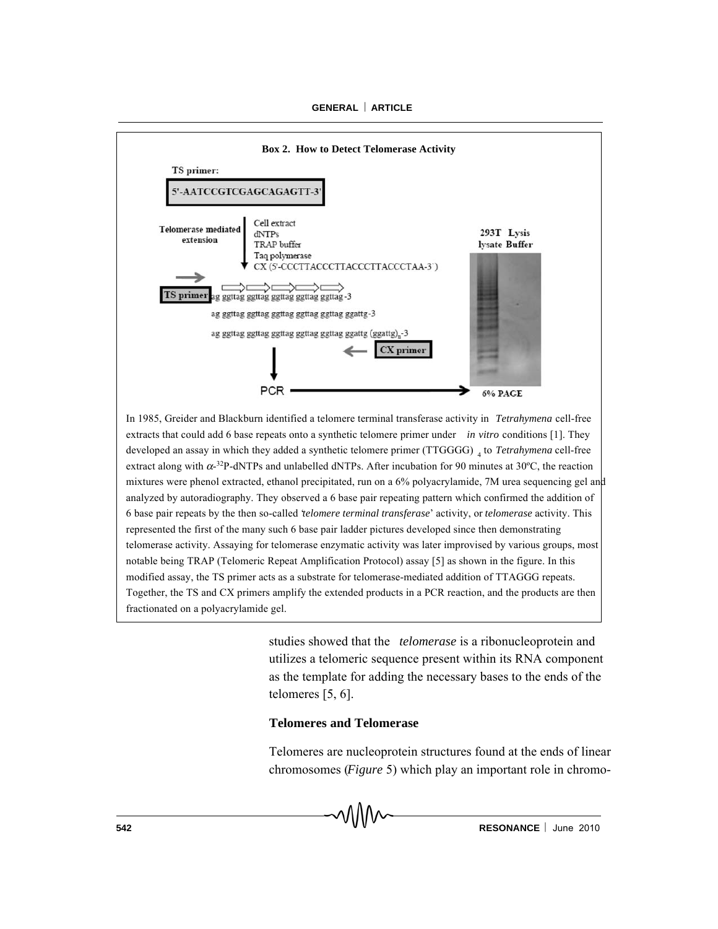

In 1985, Greider and Blackburn identified a telomere terminal transferase activity in *Tetrahymena* cell-free extracts that could add 6 base repeats onto a synthetic telomere primer under *in vitro* conditions [1]. They developed an assay in which they added a synthetic telomere primer (TTGGGG) <sub>4</sub> to *Tetrahymena* cell-free extract along with  $\alpha$ -<sup>32</sup>P-dNTPs and unlabelled dNTPs. After incubation for 90 minutes at 30°C, the reaction mixtures were phenol extracted, ethanol precipitated, run on a 6% polyacrylamide, 7M urea sequencing gel and analyzed by autoradiography. They observed a 6 base pair repeating pattern which confirmed the addition of 6 base pair repeats by the then so-called '*telomere terminal transferase*' activity, or *telomerase* activity. This represented the first of the many such 6 base pair ladder pictures developed since then demonstrating telomerase activity. Assaying for telomerase enzymatic activity was later improvised by various groups, most notable being TRAP (Telomeric Repeat Amplification Protocol) assay [5] as shown in the figure. In this modified assay, the TS primer acts as a substrate for telomerase-mediated addition of TTAGGG repeats. Together, the TS and CX primers amplify the extended products in a PCR reaction, and the products are then fractionated on a polyacrylamide gel.

> studies showed that the *telomerase* is a ribonucleoprotein and utilizes a telomeric sequence present within its RNA component as the template for adding the necessary bases to the ends of the telomeres [5, 6].

# **Telomeres and Telomerase**

Telomeres are nucleoprotein structures found at the ends of linear chromosomes (*Figure* 5) which play an important role in chromo-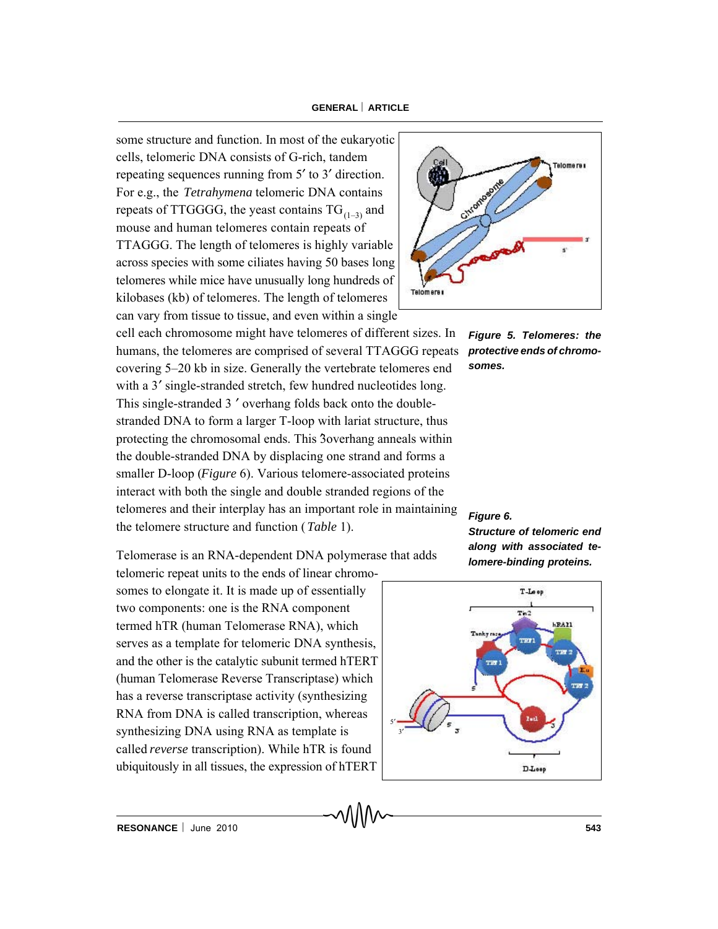some structure and function. In most of the eukaryotic cells, telomeric DNA consists of G-rich, tandem repeating sequences running from 5' to 3' direction. For e.g., the *Tetrahymena* telomeric DNA contains repeats of TTGGGG, the yeast contains  $TG_{(1-3)}$  and mouse and human telomeres contain repeats of TTAGGG. The length of telomeres is highly variable across species with some ciliates having 50 bases long telomeres while mice have unusually long hundreds of kilobases (kb) of telomeres. The length of telomeres can vary from tissue to tissue, and even within a single

cell each chromosome might have telomeres of different sizes. In humans, the telomeres are comprised of several TTAGGG repeats *protective ends of chromo*covering 5–20 kb in size. Generally the vertebrate telomeres end with a 3' single-stranded stretch, few hundred nucleotides long. This single-stranded 3 ' overhang folds back onto the doublestranded DNA to form a larger T-loop with lariat structure, thus protecting the chromosomal ends. This 3 overhang anneals within the double-stranded DNA by displacing one strand and forms a smaller D-loop (*Figure* 6). Various telomere-associated proteins interact with both the single and double stranded regions of the telomeres and their interplay has an important role in maintaining the telomere structure and function (*Table* 1).

Telomerase is an RNA-dependent DNA polymerase that adds

telomeric repeat units to the ends of linear chromosomes to elongate it. It is made up of essentially two components: one is the RNA component termed hTR (human Telomerase RNA), which serves as a template for telomeric DNA synthesis, and the other is the catalytic subunit termed hTERT (human Telomerase Reverse Transcriptase) which has a reverse transcriptase activity (synthesizing RNA from DNA is called transcription, whereas synthesizing DNA using RNA as template is called *reverse* transcription). While hTR is found ubiquitously in all tissues, the expression of hTERT



*Figure 5. Telomeres: the somes.*

#### *Figure 6.*

*Structure of telomeric end along with associated telomere-binding proteins.*

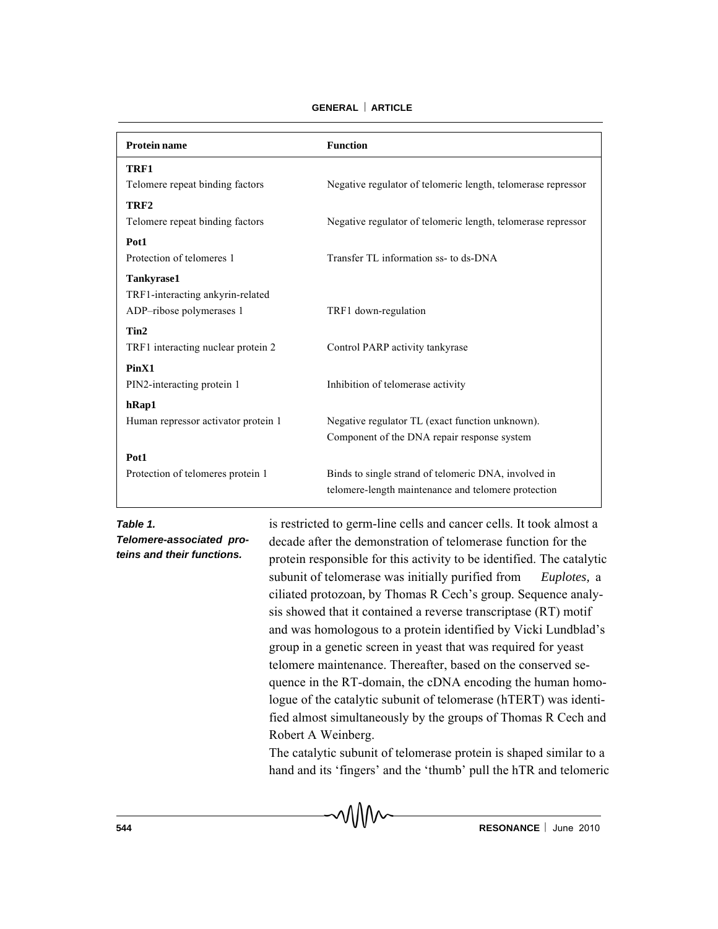| <b>Protein name</b>                 | <b>Function</b>                                              |
|-------------------------------------|--------------------------------------------------------------|
| TRF1                                |                                                              |
| Telomere repeat binding factors     | Negative regulator of telomeric length, telomerase repressor |
| TRF <sub>2</sub>                    |                                                              |
| Telomere repeat binding factors     | Negative regulator of telomeric length, telomerase repressor |
| Pot1                                |                                                              |
| Protection of telomeres 1           | Transfer TL information ss- to ds-DNA                        |
| <b>Tankyrase1</b>                   |                                                              |
| TRF1-interacting ankyrin-related    |                                                              |
| ADP-ribose polymerases 1            | TRF1 down-regulation                                         |
| Tin2                                |                                                              |
| TRF1 interacting nuclear protein 2  | Control PARP activity tankyrase                              |
| PinX1                               |                                                              |
| PIN2-interacting protein 1          | Inhibition of telomerase activity                            |
| hRap1                               |                                                              |
| Human repressor activator protein 1 | Negative regulator TL (exact function unknown).              |
|                                     | Component of the DNA repair response system                  |
| Pot1                                |                                                              |
| Protection of telomeres protein 1   | Binds to single strand of telomeric DNA, involved in         |
|                                     | telomere-length maintenance and telomere protection          |

**GENERAL ARTICLE**

*Table 1.*

*Telomere-associated proteins and their functions.*

is restricted to germ-line cells and cancer cells. It took almost a decade after the demonstration of telomerase function for the protein responsible for this activity to be identified. The catalytic subunit of telomerase was initially purified from *Euplotes,* a ciliated protozoan*,* by Thomas R Cech's group. Sequence analysis showed that it contained a reverse transcriptase (RT) motif and was homologous to a protein identified by Vicki Lundblad's group in a genetic screen in yeast that was required for yeast telomere maintenance. Thereafter, based on the conserved sequence in the RT-domain, the cDNA encoding the human homologue of the catalytic subunit of telomerase (hTERT) was identified almost simultaneously by the groups of Thomas R Cech and Robert A Weinberg.

The catalytic subunit of telomerase protein is shaped similar to a hand and its 'fingers' and the 'thumb' pull the hTR and telomeric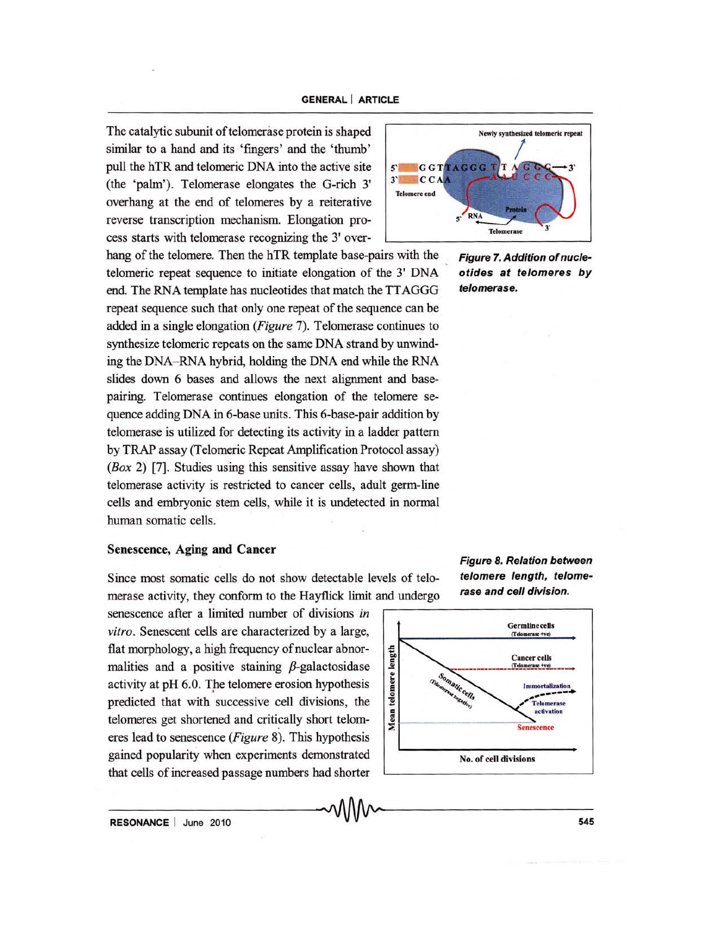The catalytic subunit of telomerase protein is shaped similar to a hand and its 'fingers' and the 'thumb' pull the hTR and telomeric DNA into the active site (the 'palm'). Telomerase elongates the G-rich 3' overhang at the end of telomeres by a reiterative reverse transcription mechanism. Elongation process starts with telomerase recognizing the 3' over-

hang of the telomere. Then the hTR template base-pairs with the telomeric repeat sequence to initiate elongation of the 3' DNA end. The RNA template has nucleotides that match the TT AGGG repeat sequence such that only one repeat of the sequence can be added in a single elongation *(Figure* 7). Telomerase continues to synthesize telomeric repeats on the same DNA strand by unwinding the DNA-RNA hybrid, holding the DNA end while the RNA slides down 6 bases and allows the next alignment and basepairing. Telomerase continues elongation of the telomere sequence adding DNA in 6-base units. This 6-base-pair addition by telomerase is utilized for detecting its activity in a ladder pattern by TRAP assay (Telomeric Repeat Amplification Protocol assay) *(Box* 2) [7]. Studies using this sensitive assay have shown that telomerase activity is restricted to cancer cells, adult germ-line cells and embryonic stem cells, while it is undetected in normal human somatic cells.

# Senescence, Aging and Cancer

Since most somatic cells do not show detectable levels of telomerase activity, they conform to the Hayflick limit and undergo

senescence after a limited number of divisions *in vitro.* Senescent cells are characterized by a large, flat morphology, a high frequency of nuclear abnormalities and a positive staining  $\beta$ -galactosidase activity at pH 6.0. The telomere erosion hypothesis predicted that with successive cell divisions, the telomeres get shortened and critically short telomeres lead to senescence *(Figure* 8). This hypothesis gained popularity when experiments demonstrated that cells of increased passage numbers had shorter



Figure 7. Addition of nucleotides at telomeres by telomerase.

Figure 8. Relation between telomere length, telomerase and cell division.



 $\sim$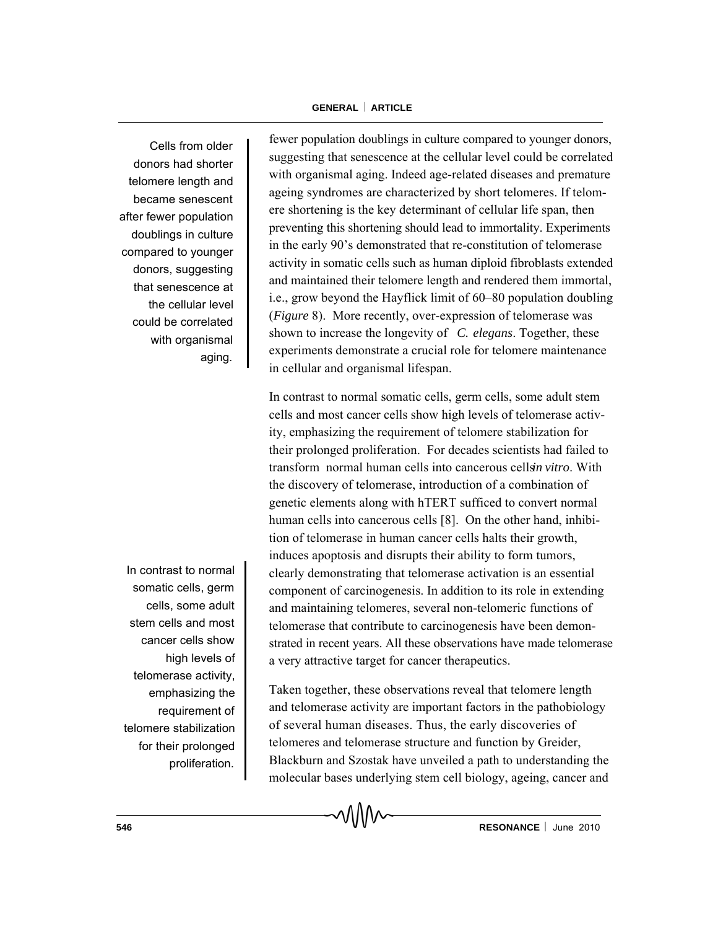Cells from older donors had shorter telomere length and became senescent after fewer population doublings in culture compared to younger donors, suggesting that senescence at the cellular level could be correlated with organismal aging.

In contrast to normal somatic cells, germ cells, some adult stem cells and most cancer cells show high levels of telomerase activity, emphasizing the requirement of telomere stabilization for their prolonged proliferation.

fewer population doublings in culture compared to younger donors, suggesting that senescence at the cellular level could be correlated with organismal aging. Indeed age-related diseases and premature ageing syndromes are characterized by short telomeres. If telomere shortening is the key determinant of cellular life span, then preventing this shortening should lead to immortality. Experiments in the early 90's demonstrated that re-constitution of telomerase activity in somatic cells such as human diploid fibroblasts extended and maintained their telomere length and rendered them immortal, i.e., grow beyond the Hayflick limit of 60–80 population doubling (*Figure* 8). More recently, over-expression of telomerase was shown to increase the longevity of *C. elegans*. Together, these experiments demonstrate a crucial role for telomere maintenance in cellular and organismal lifespan.

In contrast to normal somatic cells, germ cells, some adult stem cells and most cancer cells show high levels of telomerase activity, emphasizing the requirement of telomere stabilization for their prolonged proliferation. For decades scientists had failed to transform normal human cells into cancerous cells *in vitro*. With the discovery of telomerase, introduction of a combination of genetic elements along with hTERT sufficed to convert normal human cells into cancerous cells [8]. On the other hand, inhibition of telomerase in human cancer cells halts their growth, induces apoptosis and disrupts their ability to form tumors, clearly demonstrating that telomerase activation is an essential component of carcinogenesis. In addition to its role in extending and maintaining telomeres, several non-telomeric functions of telomerase that contribute to carcinogenesis have been demonstrated in recent years. All these observations have made telomerase a very attractive target for cancer therapeutics.

Taken together, these observations reveal that telomere length and telomerase activity are important factors in the pathobiology of several human diseases. Thus, the early discoveries of telomeres and telomerase structure and function by Greider, Blackburn and Szostak have unveiled a path to understanding the molecular bases underlying stem cell biology, ageing, cancer and